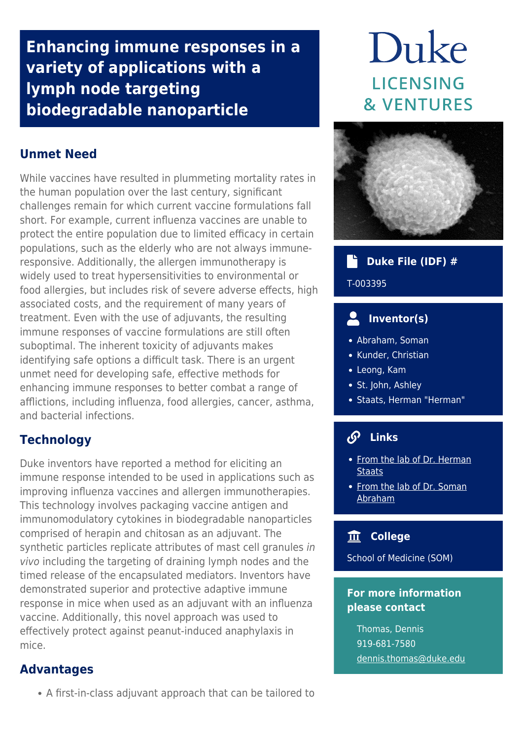**Enhancing immune responses in a variety of applications with a lymph node targeting biodegradable nanoparticle**

# **Unmet Need**

While vaccines have resulted in plummeting mortality rates in the human population over the last century, significant challenges remain for which current vaccine formulations fall short. For example, current influenza vaccines are unable to protect the entire population due to limited efficacy in certain populations, such as the elderly who are not always immuneresponsive. Additionally, the allergen immunotherapy is widely used to treat hypersensitivities to environmental or food allergies, but includes risk of severe adverse effects, high associated costs, and the requirement of many years of treatment. Even with the use of adjuvants, the resulting immune responses of vaccine formulations are still often suboptimal. The inherent toxicity of adjuvants makes identifying safe options a difficult task. There is an urgent unmet need for developing safe, effective methods for enhancing immune responses to better combat a range of afflictions, including influenza, food allergies, cancer, asthma, and bacterial infections.

# **Technology**

Duke inventors have reported a method for eliciting an immune response intended to be used in applications such as improving influenza vaccines and allergen immunotherapies. This technology involves packaging vaccine antigen and immunomodulatory cytokines in biodegradable nanoparticles comprised of herapin and chitosan as an adjuvant. The synthetic particles replicate attributes of mast cell granules in vivo including the targeting of draining lymph nodes and the timed release of the encapsulated mediators. Inventors have demonstrated superior and protective adaptive immune response in mice when used as an adjuvant with an influenza vaccine. Additionally, this novel approach was used to effectively protect against peanut-induced anaphylaxis in mice.

## **Advantages**

A first-in-class adjuvant approach that can be tailored to

# Duke **LICENSING & VENTURES**



#### **Duke File (IDF) #** a t

#### T-003395

# **Inventor(s)**

- Abraham, Soman
- Kunder, Christian
- Leong, Kam
- St. John, Ashley
- Staats, Herman "Herman"

#### $\mathcal{S}$  **Links**

- [From the lab of Dr. Herman](https://pathology.duke.edu/research/primary-faculty-labs/staats-lab) **[Staats](https://pathology.duke.edu/research/primary-faculty-labs/staats-lab)**
- [From the lab of Dr. Soman](https://pathology.duke.edu/research/primary-faculty-labs/abraham-lab) [Abraham](https://pathology.duke.edu/research/primary-faculty-labs/abraham-lab)

## **College**

School of Medicine (SOM)

### **For more information please contact**

Thomas, Dennis 919-681-7580 [dennis.thomas@duke.edu](mailto:dennis.thomas@duke.edu)